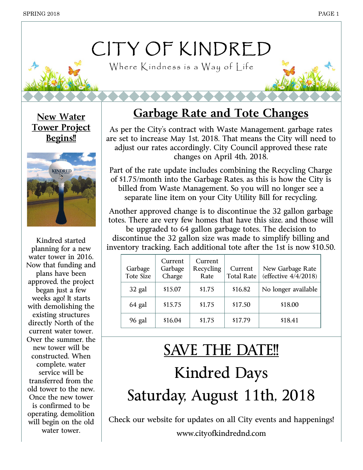# CITY OF KINDRED

Where Kindness is a Way of Life

**Tower Project Begins!!**



Kindred started planning for a new water tower in 2016. Now that funding and plans have been approved, the project began just a few weeks ago! It starts with demolishing the existing structures directly North of the current water tower. Over the summer, the new tower will be constructed. When complete, water service will be transferred from the old tower to the new. Once the new tower is confirmed to be operating, demolition will begin on the old water tower.

## **New Water Garbage Rate and Tote Changes**

As per the City's contract with Waste Management, garbage rates are set to increase May 1st, 2018. That means the City will need to adjust our rates accordingly. City Council approved these rate changes on April 4th, 2018.

Part of the rate update includes combining the Recycling Charge of \$1.75/month into the Garbage Rates, as this is how the City is billed from Waste Management. So you will no longer see a separate line item on your City Utility Bill for recycling.

Another approved change is to discontinue the 32 gallon garbage totes. There are very few homes that have this size, and those will

be upgraded to 64 gallon garbage totes. The decision to discontinue the 32 gallon size was made to simplify billing and inventory tracking. Each additional tote after the 1st is now \$10.50.

| Garbage<br><b>Tote Size</b> | Current<br>Garbage<br>Charge | Current<br>Recycling<br>Rate | Current<br><b>Total Rate</b> | New Garbage Rate<br>(effective 4/4/2018) |
|-----------------------------|------------------------------|------------------------------|------------------------------|------------------------------------------|
| 32 gal                      | \$15.07                      | \$1.75                       | \$16.82                      | No longer available                      |
| 64 gal                      | \$15.75                      | \$1.75                       | \$17.50                      | \$18.00                                  |
| 96 gal                      | \$16.04                      | \$1.75                       | \$17.79                      | \$18.41                                  |

# SAVE THE DATE!! Kindred Days Saturday, August 11th, 2018

Check our website for updates on all City events and happenings! www.cityofkindrednd.com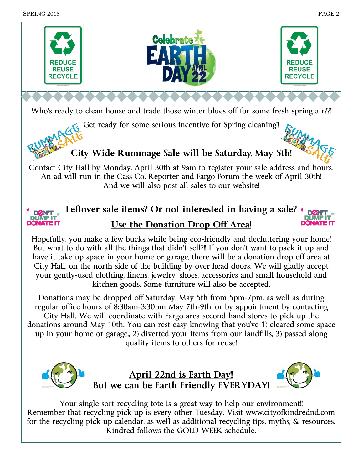

Who's ready to clean house and trade those winter blues off for some fresh spring air??!

Get ready for some serious incentive for Spring cleaning!!

## **City Wide Rummage Sale will be Saturday, May 5th!**

Contact City Hall by Monday, April 30th at 9am to register your sale address and hours. An ad will run in the Cass Co. Reporter and Fargo Forum the week of April 30th! And we will also post all sales to our website!

## **Leftover sale items? Or not interested in having a sale? Use the Donation Drop Off Area!**

Hopefully, you make a few bucks while being eco-friendly and decluttering your home! But what to do with all the things that didn't sell?!! If you don't want to pack it up and have it take up space in your home or garage, there will be a donation drop off area at City Hall, on the north side of the building by over head doors. We will gladly accept your gently-used clothing, linens, jewelry, shoes, accessories and small household and kitchen goods. Some furniture will also be accepted.

Donations may be dropped off Saturday, May 5th from 5pm-7pm, as well as during regular office hours of 8:30am-3:30pm May 7th-9th, or by appointment by contacting City Hall. We will coordinate with Fargo area second hand stores to pick up the donations around May 10th. You can rest easy knowing that you've 1) cleared some space up in your home or garage,, 2) diverted your items from our landfills, 3) passed along quality items to others for reuse!



**April 22nd is Earth Day!! But we can be Earth Friendly EVERYDAY!**



Your single sort recycling tote is a great way to help our environment!! Remember that recycling pick up is every other Tuesday. Visit www.cityofkindrednd.com for the recycling pick up calendar, as well as additional recycling tips, myths, & resources. Kindred follows the GOLD WEEK schedule.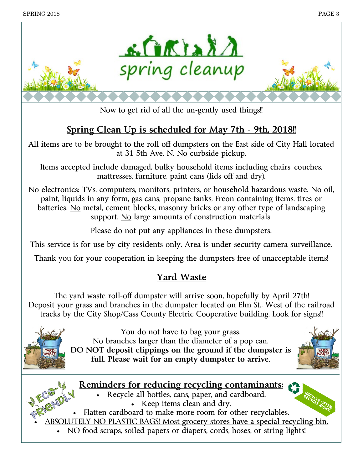

Now to get rid of all the un-gently used things!!

### **Spring Clean Up is scheduled for May 7th - 9th, 2018!!**

All items are to be brought to the roll off dumpsters on the East side of City Hall located at 31 5th Ave. N. No curbside pickup.

Items accepted include damaged, bulky household items including chairs, couches, mattresses, furniture, paint cans (lids off and dry).

No electronics: TVs, computers, monitors, printers, or household hazardous waste. No oil, paint, liquids in any form, gas cans, propane tanks, Freon containing items, tires or batteries. No metal, cement blocks, masonry bricks or any other type of landscaping support. No large amounts of construction materials.

Please do not put any appliances in these dumpsters.

This service is for use by city residents only. Area is under security camera surveillance.

Thank you for your cooperation in keeping the dumpsters free of unacceptable items!

### **Yard Waste**

The yard waste roll-off dumpster will arrive soon, hopefully by April 27th! Deposit your grass and branches in the dumpster located on Elm St., West of the railroad tracks by the City Shop/Cass County Electric Cooperative building. Look for signs!!



You do not have to bag your grass. No branches larger than the diameter of a pop can. **DO NOT deposit clippings on the ground if the dumpster is full. Please wait for an empty dumpster to arrive.**



#### **Reminders for reducing recycling contaminants:**

- Recycle all bottles, cans, paper, and cardboard. • Keep items clean and dry.
- Flatten cardboard to make more room for other recyclables.
- ABSOLUTELY NO PLASTIC BAGS! Most grocery stores have a special recycling bin.
	- NO food scraps, soiled papers or diapers, cords, hoses, or string lights!